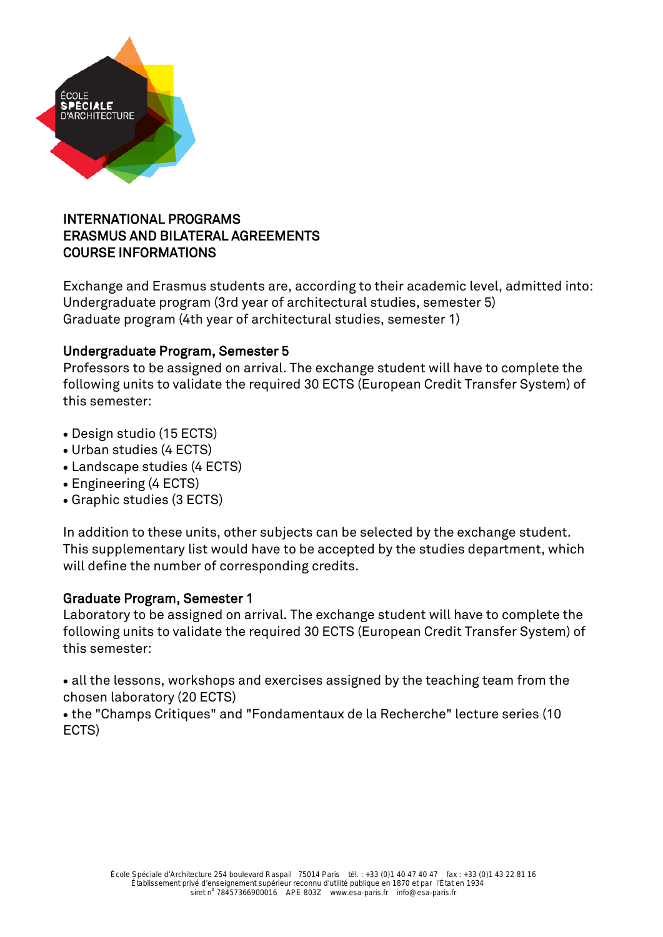

# INTERNATIONAL PROGRAMS ERASMUS AND BILATERAL AGREEMENTS COURSE INFORMATIONS

Exchange and Erasmus students are, according to their academic level, admitted into: Undergraduate program (3rd year of architectural studies, semester 5) Graduate program (4th year of architectural studies, semester 1)

# Undergraduate Program, Semester 5

Professors to be assigned on arrival. The exchange student will have to complete the following units to validate the required 30 ECTS (European Credit Transfer System) of this semester:

- Design studio (15 ECTS)
- Urban studies (4 ECTS)
- Landscape studies (4 ECTS)
- Engineering (4 ECTS)
- Graphic studies (3 ECTS)

In addition to these units, other subjects can be selected by the exchange student. This supplementary list would have to be accepted by the studies department, which will define the number of corresponding credits.

# Graduate Program, Semester 1

Laboratory to be assigned on arrival. The exchange student will have to complete the following units to validate the required 30 ECTS (European Credit Transfer System) of this semester:

• all the lessons, workshops and exercises assigned by the teaching team from the chosen laboratory (20 ECTS)

• the "Champs Critiques" and "Fondamentaux de la Recherche" lecture series (10 ECTS)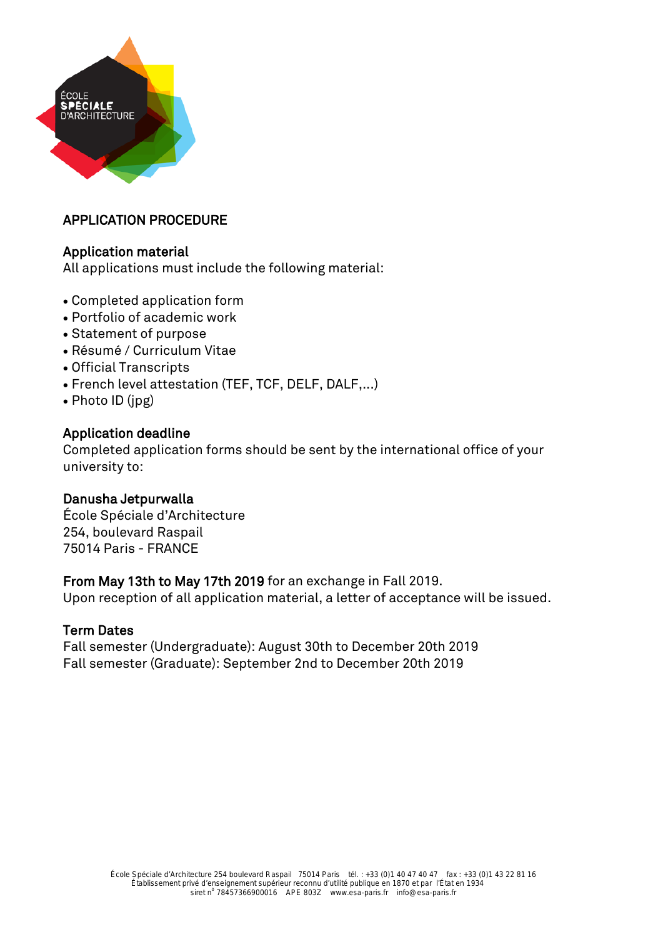

# APPLICATION PROCEDURE

### Application material

All applications must include the following material:

- Completed application form
- Portfolio of academic work
- Statement of purpose
- Résumé / Curriculum Vitae
- Official Transcripts
- French level attestation (TEF, TCF, DELF, DALF,...)
- Photo ID (jpg)

### Application deadline

Completed application forms should be sent by the international office of your university to:

### Danusha Jetpurwalla

École Spéciale d'Architecture 254, boulevard Raspail 75014 Paris - FRANCE

### From May 13th to May 17th 2019 for an exchange in Fall 2019.

Upon reception of all application material, a letter of acceptance will be issued.

### Term Dates

Fall semester (Undergraduate): August 30th to December 20th 2019 Fall semester (Graduate): September 2nd to December 20th 2019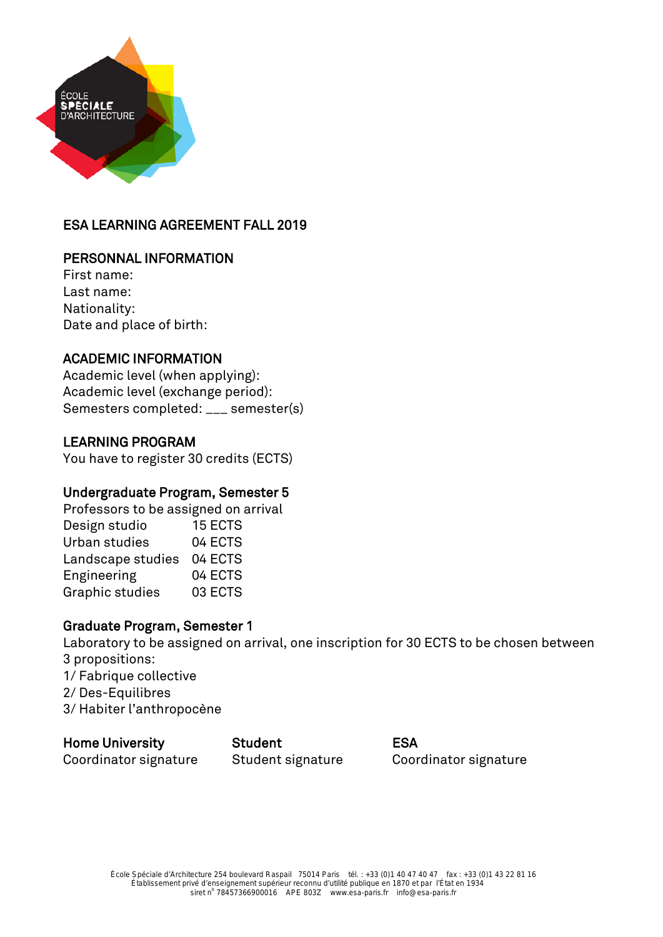

# ESA LEARNING AGREEMENT FALL 2019

### PERSONNAL INFORMATION

First name: Last name: Nationality: Date and place of birth:

### ACADEMIC INFORMATION

Academic level (when applying): Academic level (exchange period): Semesters completed: \_\_\_ semester(s)

### LEARNING PROGRAM

You have to register 30 credits (ECTS)

### Undergraduate Program, Semester 5

Professors to be assigned on arrival Design studio 15 ECTS Urban studies 04 ECTS Landscape studies 04 ECTS Engineering 04 ECTS Graphic studies 03 ECTS

### Graduate Program, Semester 1

Laboratory to be assigned on arrival, one inscription for 30 ECTS to be chosen between 3 propositions: 1/ Fabrique collective 2/ Des-Equilibres 3/ Habiter l'anthropocène

### Home University Student ESA

Coordinator signature Student signature Coordinator signature